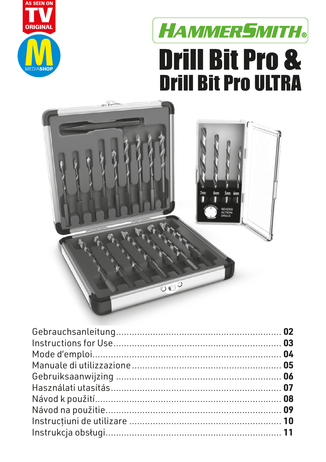

# **HAMMERSMITH® Drill Bit Pro & Drill Bit Pro ULTRA**

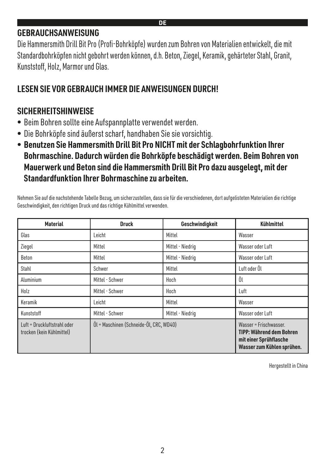#### **GEBRAUCHSANWEISUNG**

Die Hammersmith Drill Bit Pro (Profi-Bohrköpfe) wurden zum Bohren von Materialien entwickelt, die mit Standardbohrköpfen nicht gebohrt werden können, d.h. Beton, Ziegel, Keramik, gehärteter Stahl, Granit, Kunststoff, Holz, Marmor und Glas.

### **LESEN SIE VOR GEBRAUCH IMMER DIE ANWEISUNGEN DURCH!**

#### **SICHERHEITSHINWEISE**

- Beim Bohren sollte eine Aufspannplatte verwendet werden.
- Die Bohrköpfe sind äußerst scharf, handhaben Sie sie vorsichtig.
- **Benutzen Sie Hammersmith Drill Bit Pro NICHT mit der Schlagbohrfunktion Ihrer Bohrmaschine. Dadurch würden die Bohrköpfe beschädigt werden. Beim Bohren von Mauerwerk und Beton sind die Hammersmith Drill Bit Pro dazu ausgelegt, mit der Standardfunktion Ihrer Bohrmaschine zu arbeiten.**

Nehmen Sie auf die nachstehende Tabelle Bezug, um sicherzustellen, dass sie für die verschiedenen, dort aufgelisteten Materialien die richtige Geschwindigkeit, den richtigen Druck und das richtige Kühlmittel verwenden.

| <b>Material</b>                                          | <b>Druck</b>                            | Geschwindigkeit  | <b>Kühlmittel</b>                                                                                          |
|----------------------------------------------------------|-----------------------------------------|------------------|------------------------------------------------------------------------------------------------------------|
| Glas                                                     | Leicht                                  | Mittel           | Wasser                                                                                                     |
| Ziegel                                                   | Mittel                                  | Mittel - Niedrig | Wasser oder Luft                                                                                           |
| <b>Beton</b>                                             | Mittel                                  | Mittel - Niedrig | Wasser oder Luft                                                                                           |
| Stahl                                                    | Schwer                                  | Mittel           | Luft oder Ol                                                                                               |
| Aluminium                                                | Mittel - Schwer                         | Hoch             | 0l                                                                                                         |
| Holz                                                     | Mittel - Schwer                         | Hoch             | Luft                                                                                                       |
| Keramik                                                  | Leicht                                  | Mittel           | Wasser                                                                                                     |
| Kunststoff                                               | Mittel - Schwer                         | Mittel - Niedrig | Wasser oder Luft                                                                                           |
| Luft = Druckluftstrahl oder<br>trocken (kein Kühlmittel) | Öl = Maschinen (Schneide-Öl, CRC, WD40) |                  | Wasser = Frischwasser.<br>TIPP: Während dem Bohren<br>mit einer Sprühflasche<br>Wasser zum Kühlen sprühen. |

Hergestellt in China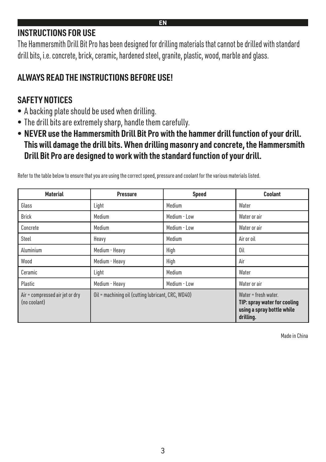#### **INSTRUCTIONS FOR USE**

The Hammersmith Drill Bit Pro has been designed for drilling materials that cannot be drilled with standard drill bits, i.e. concrete, brick, ceramic, hardened steel, granite, plastic, wood, marble and glass.

## **ALWAYS READ THE INSTRUCTIONS BEFORE USE!**

#### **SAFETY NOTICES**

- A backing plate should be used when drilling.
- The drill bits are extremely sharp, handle them carefully.
- **NEVER use the Hammersmith Drill Bit Pro with the hammer drill function of your drill. This will damage the drill bits. When drilling masonry and concrete, the Hammersmith Drill Bit Pro are designed to work with the standard function of your drill.**

| <b>Material</b>                                 | <b>Pressure</b>                                    | <b>Speed</b> | <b>Coolant</b>                                                                                  |
|-------------------------------------------------|----------------------------------------------------|--------------|-------------------------------------------------------------------------------------------------|
| Glass                                           | Light                                              | Medium       | Water                                                                                           |
| <b>Brick</b>                                    | Medium                                             | Medium - Low | Water or air                                                                                    |
| Concrete                                        | Medium                                             | Medium - Low | Water or air                                                                                    |
| Steel                                           | Heavy                                              | Medium       | Air or oil                                                                                      |
| Aluminium                                       | Medium - Heavy                                     | High         | 0il                                                                                             |
| Wood                                            | Medium - Heavy                                     | High         | Air                                                                                             |
| Ceramic                                         | Light                                              | Medium       | Water                                                                                           |
| Plastic                                         | Medium - Heavy                                     | Medium - Low | Water or air                                                                                    |
| Air = compressed air jet or dry<br>(no coolant) | Oil = machining oil (cutting lubricant, CRC, WD40) |              | Water = fresh water.<br>TIP: spray water for cooling<br>using a spray bottle while<br>drilling. |

Refer to the table below to ensure that you are using the correct speed, pressure and coolant for the various materials listed.

Made in China

**EN**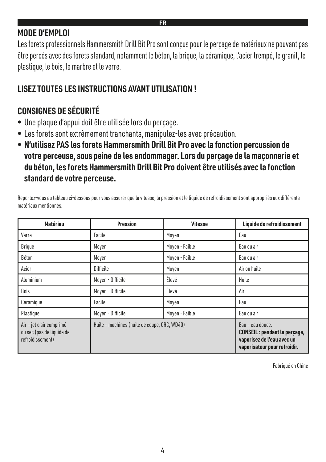#### **MODE D'EMPLOI**

Les forets professionnels Hammersmith Drill Bit Pro sont conçus pour le perçage de matériaux ne pouvant pas être percés avec des forets standard, notamment le béton, la brique, la céramique, l'acier trempé, le granit, le plastique, le bois, le marbre et le verre.

## **LISEZ TOUTES LES INSTRUCTIONS AVANT UTILISATION !**

## **CONSIGNES DE SÉCURITÉ**

- Une plaque d'appui doit être utilisée lors du perçage.
- Les forets sont extrêmement tranchants, manipulez-les avec précaution.
- **N'utilisez PAS les forets Hammersmith Drill Bit Pro avec la fonction percussion de votre perceuse, sous peine de les endommager. Lors du perçage de la maçonnerie et du béton, les forets Hammersmith Drill Bit Pro doivent être utilisés avec la fonction standard de votre perceuse.**

Reportez-vous au tableau ci-dessous pour vous assurer que la vitesse, la pression et le liquide de refroidissement sont appropriés aux différents matériaux mentionnés.

| Matériau                                                                  | <b>Pression</b>                              | <b>Vitesse</b> | Liquide de refroidissement                                                                                            |
|---------------------------------------------------------------------------|----------------------------------------------|----------------|-----------------------------------------------------------------------------------------------------------------------|
| Verre                                                                     | Facile                                       | Moyen          | Eau                                                                                                                   |
| Brique                                                                    | Moyen                                        | Moyen - Faible | Eau ou air                                                                                                            |
| Béton                                                                     | Moyen                                        | Moyen - Faible | Eau ou air                                                                                                            |
| Acier                                                                     | <b>Difficile</b>                             | Moyen          | Air ou huile                                                                                                          |
| Aluminium                                                                 | Moyen - Difficile                            | Élevé          | Huile                                                                                                                 |
| <b>Bois</b>                                                               | Moyen - Difficile                            | Élevé          | Air                                                                                                                   |
| Céramique                                                                 | Facile                                       | Moyen          | Eau                                                                                                                   |
| Plastique                                                                 | Moyen - Difficile                            | Moyen - Faible | Eau ou air                                                                                                            |
| Air = jet d'air comprimé<br>ou sec (pas de liquide de<br>refroidissement) | Huile = machines (huile de coupe, CRC, WD40) |                | Eau = eau douce.<br><b>CONSEIL: pendant le perçage,</b><br>vaporisez de l'eau avec un<br>vaporisateur pour refroidir. |

Fabriqué en Chine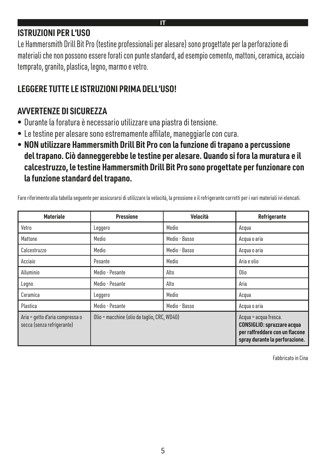#### **ISTRUZIONI PER L'USO**

Le Hammersmith Drill Bit Pro (testine professionali per alesare) sono progettate per la perforazione di materiali che non possono essere forati con punte standard, ad esempio cemento, mattoni, ceramica, acciaio temprato, granito, plastica, legno, marmo e vetro.

## **LEGGERE TUTTE LE ISTRUZIONI PRIMA DELL'USO!**

#### **AVVERTENZE DI SICUREZZA**

- Durante la foratura è necessario utilizzare una piastra di tensione.
- Le testine per alesare sono estremamente affilate, maneggiarle con cura.
- **NON utilizzare Hammersmith Drill Bit Pro con la funzione di trapano a percussione del trapano. Ciò danneggerebbe le testine per alesare. Quando si fora la muratura e il calcestruzzo, le testine Hammersmith Drill Bit Pro sono progettate per funzionare con la funzione standard del trapano.**

Fare riferimento alla tabella seguente per assicurarsi di utilizzare la velocità, la pressione e il refrigerante corretti per i vari materiali ivi elencati.

| <b>Materiale</b>                                              | <b>Pressione</b>                            | Velocità      | Refrigerante                                                                                                                   |
|---------------------------------------------------------------|---------------------------------------------|---------------|--------------------------------------------------------------------------------------------------------------------------------|
| Vetro                                                         | Leggero                                     | Medio         | Acqua                                                                                                                          |
| Mattone                                                       | Medio                                       | Medio - Basso | Acqua o aria                                                                                                                   |
| Calcestruzzo                                                  | Medio                                       | Medio - Basso | Acqua o aria                                                                                                                   |
| Acciaio                                                       | Pesante                                     | Medio         | Aria e olio                                                                                                                    |
| Alluminio                                                     | Medio - Pesante                             | Alto          | Olio                                                                                                                           |
| Legno                                                         | Medio - Pesante                             | Alto          | Aria                                                                                                                           |
| Ceramica                                                      | Leggero                                     | Medio         | Acqua                                                                                                                          |
| Plastica                                                      | Medio - Pesante                             | Medio - Basso | Acqua o aria                                                                                                                   |
| Aria = getto d'aria compressa o<br>secca (senza refrigerante) | Olio = macchine (olio da taglio, CRC, WD40) |               | Acqua = acqua fresca.<br><b>CONSIGLIO: spruzzare acqua</b><br>per raffreddare con un flacone<br>spray durante la perforazione. |

Fabbricato in Cina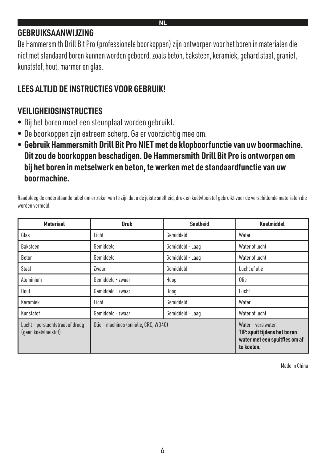#### **GEBRUIKSAANWIJZING**

De Hammersmith Drill Bit Pro (professionele boorkoppen) zijn ontworpen voor het boren in materialen die niet met standaard boren kunnen worden geboord, zoals beton, baksteen, keramiek, gehard staal, graniet, kunststof, hout, marmer en glas.

**NL**

#### **LEES ALTIJD DE INSTRUCTIES VOOR GEBRUIK!**

#### **VEILIGHEIDSINSTRUCTIES**

- Bij het boren moet een steunplaat worden gebruikt.
- De boorkoppen zijn extreem scherp. Ga er voorzichtig mee om.
- **Gebruik Hammersmith Drill Bit Pro NIET met de klopboorfunctie van uw boormachine. Dit zou de boorkoppen beschadigen. De Hammersmith Drill Bit Pro is ontworpen om bij het boren in metselwerk en beton, te werken met de standaardfunctie van uw boormachine.**

Raadpleeg de onderstaande tabel om er zeker van te zijn dat u de juiste snelheid, druk en koelvloeistof gebruikt voor de verschillende materialen die worden vermeld.

| <b>Materiaal</b>                                         | <b>Druk</b>                           | <b>Snelheid</b>  | Koelmiddel                                                                                         |
|----------------------------------------------------------|---------------------------------------|------------------|----------------------------------------------------------------------------------------------------|
| Glas                                                     | Licht                                 | Gemiddeld        | Water                                                                                              |
| Baksteen                                                 | Gemiddeld                             | Gemiddeld - Laag | Water of lucht                                                                                     |
| <b>Beton</b>                                             | Gemiddeld                             | Gemiddeld - Laag | Water of lucht                                                                                     |
| Staal                                                    | Zwaar                                 | Gemiddeld        | Lucht of olie                                                                                      |
| Aluminium                                                | Gemiddeld - zwaar                     | Hoog             | Olie                                                                                               |
| Hout                                                     | Gemiddeld - zwaar                     | Hoog             | Lucht                                                                                              |
| Keramiek                                                 | Licht                                 | Gemiddeld        | Water                                                                                              |
| Kunststof                                                | Gemiddeld - zwaar                     | Gemiddeld - Laag | Water of lucht                                                                                     |
| Lucht = persluchtstraal of droog<br>(geen koelvloeistof) | Olie = machines (snijolie, CRC, WD40) |                  | Water = vers water.<br>TIP: spuit tijdens het boren<br>water met een spuitfles om af<br>te koelen. |

Made in China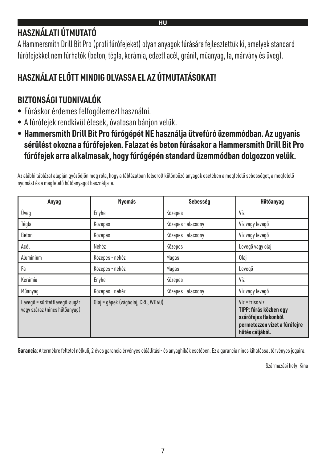## **HASZNÁLATI ÚTMUTATÓ**

A Hammersmith Drill Bit Pro (profi fúrófejeket) olyan anyagok fúrására fejlesztettük ki, amelyek standard fúrófejekkel nem fúrhatók (beton, tégla, kerámia, edzett acél, gránit, műanyag, fa, márvány és üveg).

## **HASZNÁLAT ELŐTT MINDIG OLVASSA EL AZ ÚTMUTATÁSOKAT!**

## **BIZTONSÁGI TUDNIVALÓK**

- Fúráskor érdemes felfogólemezt használni.
- A fúrófejek rendkívül élesek, óvatosan bánjon velük.
- **Hammersmith Drill Bit Pro fúrógépét NE használja ütvefúró üzemmódban. Az ugyanis sérülést okozna a fúrófejeken. Falazat és beton fúrásakor a Hammersmith Drill Bit Pro fúrófejek arra alkalmasak, hogy fúrógépén standard üzemmódban dolgozzon velük.**

Az alábbi táblázat alapján győződjön meg róla, hogy a táblázatban felsorolt különböző anyagok esetében a megfelelő sebességet, a megfelelő nyomást és a megfelelő hűtőanyagot használja-e.

| Anyag                                                          | Nyomás                             | Sebesség           | Hűtőanyag                                                                                                                |
|----------------------------------------------------------------|------------------------------------|--------------------|--------------------------------------------------------------------------------------------------------------------------|
| Üveq                                                           | Enyhe                              | Közepes            | Víz                                                                                                                      |
| Tégla                                                          | Közepes                            | Közepes - alacsony | Víz vagy levegő                                                                                                          |
| Beton                                                          | Közepes                            | Közepes - alacsony | Víz vagy levegő                                                                                                          |
| Acél                                                           | Nehéz                              | Közepes            | Levegő vagy olaj                                                                                                         |
| Alumínium                                                      | Közepes - nehéz                    | Magas              | Olaj                                                                                                                     |
| Fa                                                             | Közepes - nehéz                    | Magas              | Levegő                                                                                                                   |
| Kerámia                                                        | Enyhe                              | Közepes            | Víz                                                                                                                      |
| Műanyag                                                        | Közepes - nehéz                    | Közepes - alacsony | Víz vagy levegő                                                                                                          |
| Levegő = sűrítettlevegő-sugár<br>vagy száraz (nincs hűtőanyag) | Olaj = gépek (vágóolaj, CRC, WD40) |                    | $Viz = friss viz.$<br>TIPP: fúrás közben egy<br>szórófejes flakonból<br>permetezzen vizet a fúrófejre<br>hűtés céljából. |

**Garancia**: A termékre feltétel nélküli, 2 éves garancia érvényes előállítási- és anyaghibák esetében. Ez a garancia nincs kihatással törvényes jogaira.

Származási hely: Kína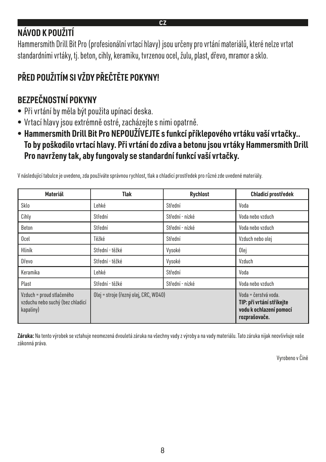## **NÁVOD K POUŽITÍ**

Hammersmith Drill Bit Pro (profesionální vrtací hlavy) jsou určeny pro vrtání materiálů, které nelze vrtat standardními vrtáky, tj. beton, cihly, keramiku, tvrzenou ocel, žulu, plast, dřevo, mramor a sklo.

## **PŘED POUŽITÍM SI VŽDY PŘEČTĚTE POKYNY!**

## **BEZPEČNOSTNÍ POKYNY**

- Při vrtání by měla být použita upínací deska.
- Vrtací hlavy jsou extrémně ostré, zacházejte s nimi opatrně.
- **Hammersmith Drill Bit Pro NEPOUŽÍVEJTE s funkcí příklepového vrtáku vaší vrtačky.. To by poškodilo vrtací hlavy. Při vrtání do zdiva a betonu jsou vrtáky Hammersmith Drill Pro navrženy tak, aby fungovaly se standardní funkcí vaší vrtačky.**

| <b>Materiál</b>                                                            | <b>Tlak</b>                           | <b>Rychlost</b> | Chladicí prostředek                                                                           |
|----------------------------------------------------------------------------|---------------------------------------|-----------------|-----------------------------------------------------------------------------------------------|
| Sklo                                                                       | Lehké                                 | Střední         | Voda                                                                                          |
| Cihly                                                                      | Střední                               | Střední - nízké | Voda nebo vzduch                                                                              |
| Beton                                                                      | Střední                               | Střední - nízké | Voda nebo vzduch                                                                              |
| Ocel                                                                       | Těžké                                 | Střední         | Vzduch nebo olej                                                                              |
| <b>Hliník</b>                                                              | Střední - těžké                       | Vysoké          | Olej                                                                                          |
| Dřevo                                                                      | Střední - těžké                       | Vysoké          | Vzduch                                                                                        |
| Keramika                                                                   | Lehké                                 | Střední         | Voda                                                                                          |
| Plast                                                                      | Střední - těžké                       | Střední - nízké | Voda nebo vzduch                                                                              |
| Vzduch = proud stlačeného<br>vzduchu nebo suchý (bez chladicí<br>kapaliny) | Olej = stroje (řezný olej, CRC, WD40) |                 | Voda = čerstvá voda.<br>TIP: při vrtání stříkejte<br>vodu k ochlazení pomocí<br>rozprašovače. |

V následující tabulce je uvedeno, zda používáte správnou rychlost, tlak a chladicí prostředek pro různé zde uvedené materiály.

**Záruka:** Na tento výrobek se vztahuje neomezená dvouletá záruka na všechny vady z výroby a na vady materiálu. Tato záruka nijak neovlivňuje vaše zákonná práva.

Vyrobeno v Číně

**CZ**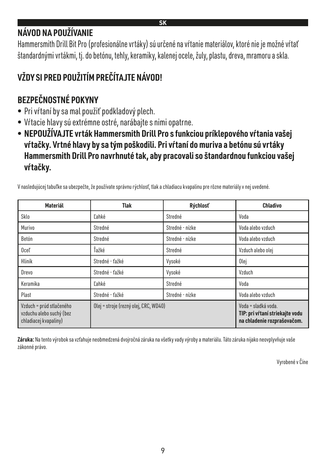## **NÁVOD NA POUŽÍVANIE**

Hammersmith Drill Bit Pro (profesionálne vrtáky) sú určené na vŕtanie materiálov, ktoré nie je možné vŕtať štandardnými vrtákmi, tj. do betónu, tehly, keramiky, kalenej ocele, žuly, plastu, dreva, mramoru a skla.

## **VŽDY SI PRED POUŽITÍM PREČÍTAJTE NÁVOD!**

## **BEZPEČNOSTNÉ POKYNY**

- Pri vŕtaní by sa mal použiť podkladový plech.
- Vŕtacie hlavy sú extrémne ostré, narábajte s nimi opatrne.
- **NEPOUŽÍVAJTE vrták Hammersmith Drill Pro s funkciou príklepového vŕtania vašej vŕtačky. Vrtné hlavy by sa tým poškodili. Pri vŕtaní do muriva a betónu sú vrtáky Hammersmith Drill Pro navrhnuté tak, aby pracovali so štandardnou funkciou vašej vŕtačky.**

| <b>Materiál</b>                                                               | <b>Tlak</b>                           | Rýchlosť        | <b>Chladivo</b>                                                                       |
|-------------------------------------------------------------------------------|---------------------------------------|-----------------|---------------------------------------------------------------------------------------|
| Sklo                                                                          | Ľahké                                 | Stredné         | Voda                                                                                  |
| Murivo                                                                        | Stredné                               | Stredné - nízke | Voda alebo vzduch                                                                     |
| Betón                                                                         | Stredné                               | Stredné - nízke | Voda alebo vzduch                                                                     |
| Ocel                                                                          | Ťažké                                 | Stredné         | Vzduch alebo olej                                                                     |
| <b>Hliník</b>                                                                 | Stredné - ťažké                       | Vysoké          | Olej                                                                                  |
| Drevo                                                                         | Stredné - ťažké                       | Vysoké          | Vzduch                                                                                |
| Keramika                                                                      | Ľahké                                 | Stredné         | Voda                                                                                  |
| Plast                                                                         | Stredné - ťažké                       | Stredné - nízke | Voda alebo vzduch                                                                     |
| Vzduch = prúd stlačeného<br>vzduchu alebo suchý (bez<br>chladiacej kvapaliny) | Olej = stroje (rezný olej, CRC, WD40) |                 | Voda = sladká voda.<br>TIP: pri vŕtaní striekajte vodu<br>na chladenie rozprašovačom. |

V nasledujúcej tabuľke sa ubezpečte, že používate správnu rýchlosť, tlak a chladiacu kvapalinu pre rôzne materiály v nej uvedené.

**Záruka:** Na tento výrobok sa vzťahuje neobmedzená dvojročná záruka na všetky vady výroby a materiálu. Táto záruka nijako neovplyvňuje vaše zákonné právo.

Vyrobené v Číne

 $\overline{\mathbf{S}}$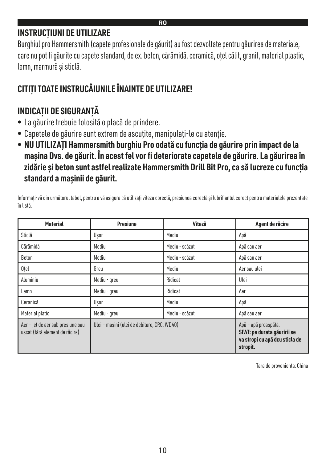#### **INSTRUCȚIUNI DE UTILIZARE**

Burghiul pro Hammersmith (capete profesionale de găurit) au fost dezvoltate pentru găurirea de materiale, care nu pot fi găurite cu capete standard, de ex. beton, cărămidă, ceramică, oțel călit, granit, material plastic, lemn, marmură și sticlă.

## **CITIȚI TOATE INSTRUCÂIUNILE ÎNAINTE DE UTILIZARE!**

## **INDICAȚII DE SIGURANȚĂ**

- La găurire trebuie folosită o placă de prindere.
- Capetele de găurire sunt extrem de ascuțite, manipulați-le cu atenție.
- **NU UTILIZAȚI Hammersmith burghiu Pro odată cu funcția de găurire prin impact de la mașina Dvs. de găurit. În acest fel vor fi deteriorate capetele de găurire. La găurirea în zidărie și beton sunt astfel realizate Hammersmith Drill Bit Pro, ca să lucreze cu funcția standard a mașinii de găurit.**

Informați-vă din următorul tabel, pentru a vă asigura că utilizați viteza corectă, presiunea corectă și lubrifiantul corect pentru materialele prezentate în listă.

| <b>Material</b>                                                     | <b>Presiune</b>                             | Viteză         | Agent de răcire                                                                                   |
|---------------------------------------------------------------------|---------------------------------------------|----------------|---------------------------------------------------------------------------------------------------|
| Sticlă                                                              | Usor                                        | Mediu          | Apă                                                                                               |
| Cărămidă                                                            | Mediu                                       | Mediu - scăzut | Apă sau aer                                                                                       |
| <b>Beton</b>                                                        | Mediu                                       | Mediu - scăzut | Apă sau aer                                                                                       |
| Otel                                                                | Greu                                        | Mediu          | Aer sau ulei                                                                                      |
| Aluminiu                                                            | Mediu - greu                                | Ridicat        | Ulei                                                                                              |
| Lemn                                                                | Mediu - greu                                | Ridicat        | Aer                                                                                               |
| Ceranică                                                            | Usor                                        | Mediu          | Apă                                                                                               |
| Material platic                                                     | Mediu - greu                                | Mediu - scăzut | Apă sau aer                                                                                       |
| Aer = jet de aer sub presiune sau<br>uscat (fără element de răcire) | Ulei = masini (ulei de debitare, CRC, WD40) |                | Apă = apă proaspătă.<br>SFAT: pe durata găuririi se<br>va stropi cu apă dcu sticla de<br>stropit. |

Tara de provenienta: China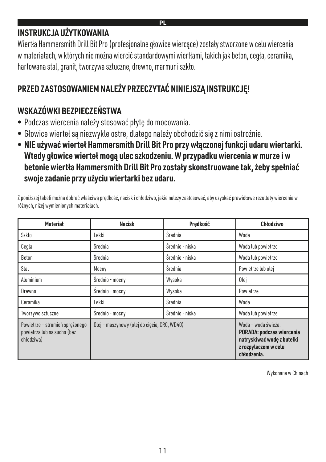#### **INSTRUKCJA UŻYTKOWANIA**

Wiertła Hammersmith Drill Bit Pro (profesjonalne głowice wiercące) zostały stworzone w celu wiercenia w materiałach, w których nie można wiercić standardowymi wiertłami, takich jak beton, cegła, ceramika, hartowana stal, granit, tworzywa sztuczne, drewno, marmur i szkło.

**PL** 

## **PRZED ZASTOSOWANIEM NALEŻY PRZECZYTAĆ NINIEJSZĄ INSTRUKCJĘ!**

## **WSKAZÓWKI BEZPIECZEŃSTWA**

- Podczas wiercenia należy stosować płytę do mocowania.
- Głowice wierteł są niezwykle ostre, dlatego należy obchodzić się z nimi ostrożnie.
- **NIE używać wierteł Hammersmith Drill Bit Pro przy włączonej funkcji udaru wiertarki. Wtedy głowice wierteł mogą ulec szkodzeniu. W przypadku wiercenia w murze i w betonie wiertła Hammersmith Drill Bit Pro zostały skonstruowane tak, żeby spełniać swoje zadanie przy użyciu wiertarki bez udaru.**

Z poniższej tabeli można dobrać właściwą prędkość, nacisk i chłodziwo, jakie należy zastosować, aby uzyskać prawidłowe rezultaty wiercenia w różnych, niżej wymienionych materiałach.

| <b>Materiał</b>                                                              | <b>Nacisk</b>                                | Predkość        | Chłodziwo                                                                                                             |
|------------------------------------------------------------------------------|----------------------------------------------|-----------------|-----------------------------------------------------------------------------------------------------------------------|
| Szkło                                                                        | Lekki                                        | Średnia         | Woda                                                                                                                  |
| Cegła                                                                        | Średnia                                      | Średnio - niska | Woda lub powietrze                                                                                                    |
| Beton                                                                        | Średnia                                      | Średnio - niska | Woda lub powietrze                                                                                                    |
| Stal                                                                         | Mocny                                        | Średnia         | Powietrze lub olej                                                                                                    |
| Aluminium                                                                    | Średnio - mocny                              | Wysoka          | Olej                                                                                                                  |
| Drewno                                                                       | Średnio - mocny                              | Wysoka          | Powietrze                                                                                                             |
| Ceramika                                                                     | Lekki                                        | Średnia         | Woda                                                                                                                  |
| Tworzywo sztuczne                                                            | Średnio - mocny                              | Średnio - niska | Woda lub powietrze                                                                                                    |
| Powietrze = strumień sprężonego<br>powietrza lub na sucho (bez<br>chłodziwa) | Olej = maszynowy (olej do cięcia, CRC, WD40) |                 | Woda = woda świeża.<br>PORADA: podczas wiercenia<br>natryskiwać wodę z butelki<br>z rozpylaczem w celu<br>chłodzenia. |

Wykonane w Chinach